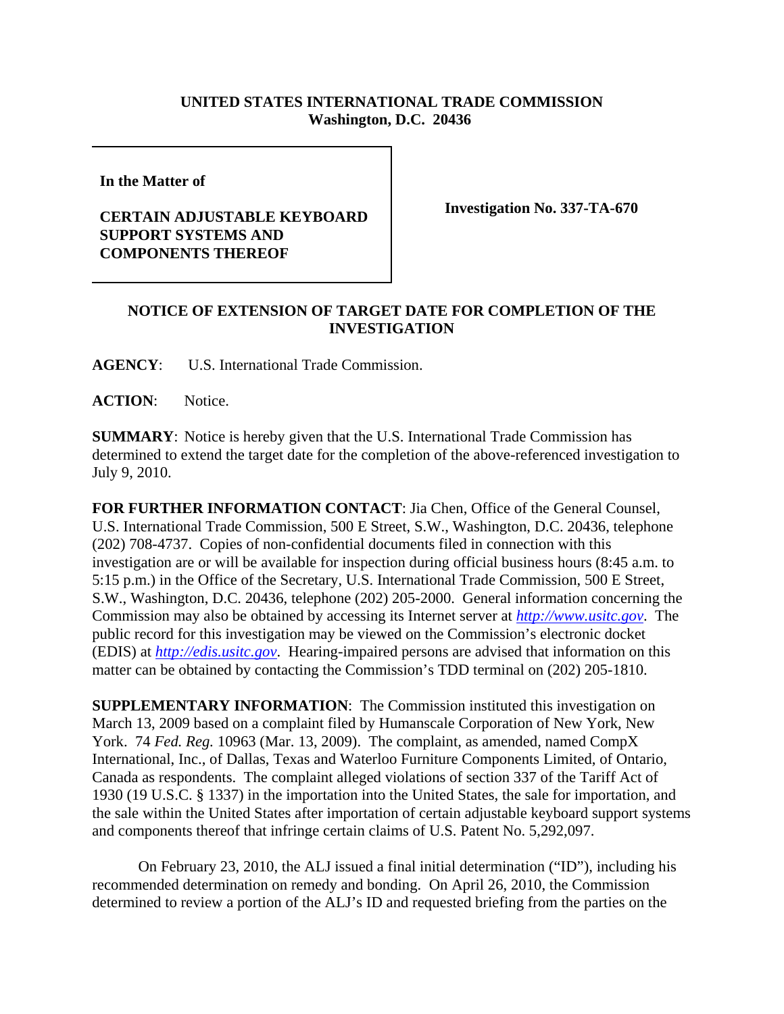## **UNITED STATES INTERNATIONAL TRADE COMMISSION Washington, D.C. 20436**

**In the Matter of** 

## **CERTAIN ADJUSTABLE KEYBOARD SUPPORT SYSTEMS AND COMPONENTS THEREOF**

**Investigation No. 337-TA-670**

## **NOTICE OF EXTENSION OF TARGET DATE FOR COMPLETION OF THE INVESTIGATION**

**AGENCY**: U.S. International Trade Commission.

ACTION: Notice.

**SUMMARY**: Notice is hereby given that the U.S. International Trade Commission has determined to extend the target date for the completion of the above-referenced investigation to July 9, 2010.

**FOR FURTHER INFORMATION CONTACT**: Jia Chen, Office of the General Counsel, U.S. International Trade Commission, 500 E Street, S.W., Washington, D.C. 20436, telephone (202) 708-4737. Copies of non-confidential documents filed in connection with this investigation are or will be available for inspection during official business hours (8:45 a.m. to 5:15 p.m.) in the Office of the Secretary, U.S. International Trade Commission, 500 E Street, S.W., Washington, D.C. 20436, telephone (202) 205-2000. General information concerning the Commission may also be obtained by accessing its Internet server at *http://www.usitc.gov*. The public record for this investigation may be viewed on the Commission's electronic docket (EDIS) at *http://edis.usitc.gov*. Hearing-impaired persons are advised that information on this matter can be obtained by contacting the Commission's TDD terminal on (202) 205-1810.

**SUPPLEMENTARY INFORMATION:** The Commission instituted this investigation on March 13, 2009 based on a complaint filed by Humanscale Corporation of New York, New York. 74 *Fed. Reg.* 10963 (Mar. 13, 2009). The complaint, as amended, named CompX International, Inc., of Dallas, Texas and Waterloo Furniture Components Limited, of Ontario, Canada as respondents. The complaint alleged violations of section 337 of the Tariff Act of 1930 (19 U.S.C. § 1337) in the importation into the United States, the sale for importation, and the sale within the United States after importation of certain adjustable keyboard support systems and components thereof that infringe certain claims of U.S. Patent No. 5,292,097.

On February 23, 2010, the ALJ issued a final initial determination ("ID"), including his recommended determination on remedy and bonding. On April 26, 2010, the Commission determined to review a portion of the ALJ's ID and requested briefing from the parties on the